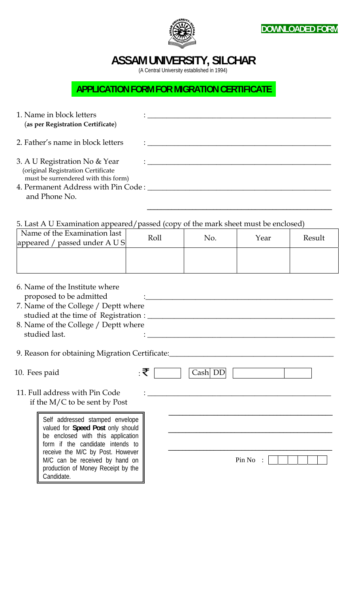



# **ASSAM UNIVERSITY, SILCHAR**

(A Central University established in 1994)

## **APPLICATION FORM FOR MIGRATION CERTIFICATE**

| 1. Name in block letters<br>(as per Registration Certificate)                                              |  |
|------------------------------------------------------------------------------------------------------------|--|
| 2. Father's name in block letters                                                                          |  |
| 3. A U Registration No & Year<br>(original Registration Certificate<br>must be surrendered with this form) |  |
| 4. Permanent Address with Pin Code:                                                                        |  |
| and Phone No.                                                                                              |  |

5. Last A U Examination appeared/passed (copy of the mark sheet must be enclosed)

| Name of the Examination last<br>appeared / passed under A U S | Roll | No. | Year | Result |
|---------------------------------------------------------------|------|-----|------|--------|
|                                                               |      |     |      |        |

\_\_\_\_\_\_\_\_\_\_\_\_\_\_\_\_\_\_\_\_\_\_\_\_\_\_\_\_\_\_\_\_\_\_\_\_\_\_\_\_\_\_\_\_\_\_\_\_\_\_\_\_\_

| 6. Name of the Institute where                                     |    |         |        |
|--------------------------------------------------------------------|----|---------|--------|
| proposed to be admitted                                            |    |         |        |
| 7. Name of the College / Deptt where                               |    |         |        |
| studied at the time of Registration :                              |    |         |        |
| 8. Name of the College / Deptt where                               |    |         |        |
| studied last.                                                      |    |         |        |
|                                                                    |    |         |        |
| 9. Reason for obtaining Migration Certificate:                     |    |         |        |
|                                                                    |    |         |        |
| 10. Fees paid                                                      | ∶₹ | Cash DD |        |
|                                                                    |    |         |        |
| 11. Full address with Pin Code                                     |    |         |        |
| if the $M/C$ to be sent by Post                                    |    |         |        |
|                                                                    |    |         |        |
| Self addressed stamped envelope                                    |    |         |        |
| valued for Speed Post only should                                  |    |         |        |
| be enclosed with this application                                  |    |         |        |
| form if the candidate intends to                                   |    |         |        |
| receive the M/C by Post. However<br>M/C can be received by hand on |    |         | Pin No |
| production of Money Receipt by the                                 |    |         |        |
| Candidate.                                                         |    |         |        |
|                                                                    |    |         |        |